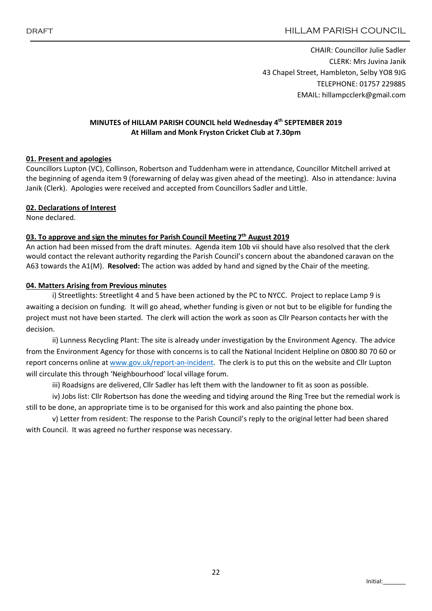CHAIR: Councillor Julie Sadler CLERK: Mrs Juvina Janik 43 Chapel Street, Hambleton, Selby YO8 9JG TELEPHONE: 01757 229885 EMAIL: hillampcclerk@gmail.com

### MINUTES of HILLAM PARISH COUNCIL held Wednesday 4<sup>th</sup> SEPTEMBER 2019 At Hillam and Monk Fryston Cricket Club at 7.30pm

### 01. Present and apologies

Councillors Lupton (VC), Collinson, Robertson and Tuddenham were in attendance, Councillor Mitchell arrived at the beginning of agenda item 9 (forewarning of delay was given ahead of the meeting). Also in attendance: Juvina Janik (Clerk). Apologies were received and accepted from Councillors Sadler and Little.

### 02. Declarations of Interest

None declared.

### 03. To approve and sign the minutes for Parish Council Meeting  $7<sup>th</sup>$  August 2019

An action had been missed from the draft minutes. Agenda item 10b vii should have also resolved that the clerk would contact the relevant authority regarding the Parish Council's concern about the abandoned caravan on the A63 towards the A1(M). Resolved: The action was added by hand and signed by the Chair of the meeting.

### 04. Matters Arising from Previous minutes

i) Streetlights: Streetlight 4 and 5 have been actioned by the PC to NYCC. Project to replace Lamp 9 is awaiting a decision on funding. It will go ahead, whether funding is given or not but to be eligible for funding the project must not have been started. The clerk will action the work as soon as Cllr Pearson contacts her with the decision.

ii) Lunness Recycling Plant: The site is already under investigation by the Environment Agency. The advice from the Environment Agency for those with concerns is to call the National Incident Helpline on 0800 80 70 60 or report concerns online at www.gov.uk/report-an-incident. The clerk is to put this on the website and Cllr Lupton will circulate this through 'Neighbourhood' local village forum.

iii) Roadsigns are delivered, Cllr Sadler has left them with the landowner to fit as soon as possible.

iv) Jobs list: Cllr Robertson has done the weeding and tidying around the Ring Tree but the remedial work is still to be done, an appropriate time is to be organised for this work and also painting the phone box.

v) Letter from resident: The response to the Parish Council's reply to the original letter had been shared with Council. It was agreed no further response was necessary.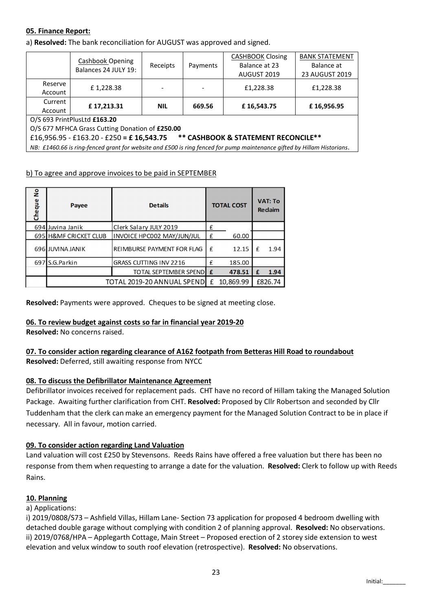# 05. Finance Report:

a) Resolved: The bank reconciliation for AUGUST was approved and signed.

|                                                                                                                         | Cashbook Opening     | Receipts   | Payments | <b>CASHBOOK Closing</b> | <b>BANK STATEMENT</b><br>Balance at |  |  |  |  |
|-------------------------------------------------------------------------------------------------------------------------|----------------------|------------|----------|-------------------------|-------------------------------------|--|--|--|--|
|                                                                                                                         | Balances 24 JULY 19: |            |          | Balance at 23           |                                     |  |  |  |  |
|                                                                                                                         |                      |            |          | AUGUST 2019             | 23 AUGUST 2019                      |  |  |  |  |
| Reserve                                                                                                                 | £1,228.38            |            |          | £1,228.38               | £1,228.38                           |  |  |  |  |
| Account                                                                                                                 |                      |            |          |                         |                                     |  |  |  |  |
| Current                                                                                                                 | £17,213.31           | <b>NIL</b> | 669.56   | £16,543.75              | £16,956.95                          |  |  |  |  |
| Account                                                                                                                 |                      |            |          |                         |                                     |  |  |  |  |
| O/S 693 PrintPlusLtd £163.20                                                                                            |                      |            |          |                         |                                     |  |  |  |  |
| O/S 677 MFHCA Grass Cutting Donation of £250.00                                                                         |                      |            |          |                         |                                     |  |  |  |  |
| ** CASHBOOK & STATEMENT RECONCILE**<br>£16,956.95 - £163.20 - £250 = £16,543.75                                         |                      |            |          |                         |                                     |  |  |  |  |
| NB: £1460.66 is ring-fenced grant for website and £500 is ring fenced for pump maintenance gifted by Hillam Historians. |                      |            |          |                         |                                     |  |  |  |  |

# b) To agree and approve invoices to be paid in SEPTEMBER

| ۽<br>Cheque | Payee                      | <b>Details</b>                |   | <b>TOTAL COST</b> |   | <b>VAT: To</b><br><b>Redaim</b> |  |
|-------------|----------------------------|-------------------------------|---|-------------------|---|---------------------------------|--|
|             | 694 Juvina Janik           | Clerk Salary JULY 2019        | £ |                   |   |                                 |  |
|             | 695 H&MF CRICKET CLUB      | INVOICE HPC002 MAY/JUN/JUL    | £ | 60.00             |   |                                 |  |
|             | 696 JUVINA JANIK           | REIMBURSE PAYMENT FOR FLAG    | f | 12.15             |   | 1.94                            |  |
|             | 697 S.G.Parkin             | <b>GRASS CUTTING INV 2216</b> | £ | 185.00            |   |                                 |  |
|             |                            | <b>TOTAL SEPTEMBER SPEND</b>  | £ | 478.51            | £ | 1.94                            |  |
|             | TOTAL 2019-20 ANNUAL SPEND |                               |   | 10,869.99         |   | £826.74                         |  |

Resolved: Payments were approved. Cheques to be signed at meeting close.

# 06. To review budget against costs so far in financial year 2019-20

Resolved: No concerns raised.

# 07. To consider action regarding clearance of A162 footpath from Betteras Hill Road to roundabout Resolved: Deferred, still awaiting response from NYCC

# 08. To discuss the Defibrillator Maintenance Agreement

Defibrillator invoices received for replacement pads. CHT have no record of Hillam taking the Managed Solution Package. Awaiting further clarification from CHT. Resolved: Proposed by Cllr Robertson and seconded by Cllr Tuddenham that the clerk can make an emergency payment for the Managed Solution Contract to be in place if necessary. All in favour, motion carried.

# 09. To consider action regarding Land Valuation

Land valuation will cost £250 by Stevensons. Reeds Rains have offered a free valuation but there has been no response from them when requesting to arrange a date for the valuation. Resolved: Clerk to follow up with Reeds Rains.

# 10. Planning

a) Applications:

i) 2019/0808/S73 – Ashfield Villas, Hillam Lane- Section 73 application for proposed 4 bedroom dwelling with detached double garage without complying with condition 2 of planning approval. Resolved: No observations. ii) 2019/0768/HPA – Applegarth Cottage, Main Street – Proposed erection of 2 storey side extension to west elevation and velux window to south roof elevation (retrospective). Resolved: No observations.